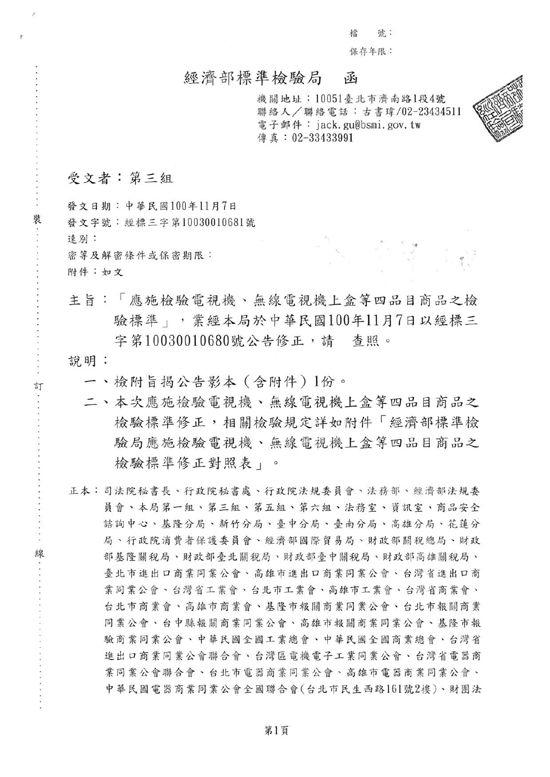檔 號: 保存年限:

### 經濟部標準檢驗局 函

機關地址: 10051臺北市濟南路1段4號 聯絡人/聯絡電話:古書瑋/02-23434511 電子郵件: jack. gu@bsmi. gov. tw 傳真: 02-33433991

## 受文者:第三組

,

發文日期: 中華民國100年11月7日 裝<br>發文字號:經標三字第10030010681號 速别: 还列·<br>密等及解密條件或保密期限: 附件:如文

> 主旨:「應施檢驗電視機、無線電視機上盒等四品目商品之檢 驗標準 :, 業經本局於中華民國100年11月7日以經標三 字第10030010680號公告修正,請 查照。

說明:

訂

- 一、檢附旨揭公告影本 (含附件) 1份。
- 二、本次應施檢驗電視機、無線電視機上盒等四品目商品之 檢驗標準修正,相關檢驗規定詳如附件「經濟部標準檢 驗局應施檢驗電視機、無線電視機上盒等四品目商品之 檢驗標準修正對照表」。
- 正本:司法院秘書長、行政院秘書處、行政院法規委員會、法務部、經濟部法規委 員會、本局第一組、第三組、第五組、第六組、法務室、資訊室、商品安全 諮詢中心、基隆分局、新竹分局、臺中分局、臺南分局、高雄分局、花蓮分 局、行政院消費者保護委員會、經濟部國際貿易局、財政部關稅總局、財政 線 。 部基隆關稅局、財政部臺北關稅局、財政部臺中關稅局、財政部高雄關稅局、 臺北市進出口商業同業公會、高雄市進出口商業同業公會、台灣省進出口商 業同業公會、台灣省工業會、台北市工業會、高雄市工業會、台灣省商業會、 台北市商業會、高雄市商業會、基隆市報關商業同業公會、台北市報關商業 同業公會、台中縣報關商業同業公會、高雄市報關商業同業公會、基隆市報 同葉公會、台中縣報關商業同業公會、高雄市報關商業同業公會、基隆市報<br>驗商業同業公會、中華民國全國工業總會、中華民國全國商業總會、台灣省 進出口商業同業公會聯合會、台灣區電機電子工業同業公會、台灣省電器商 業同業公會聯合會、台北市電器商業同業公會、高雄市電器商業同業公會、 中華民國電器商業同業公會全國聯合會(台北市民生西路161號2樓)、財團法

第1頁

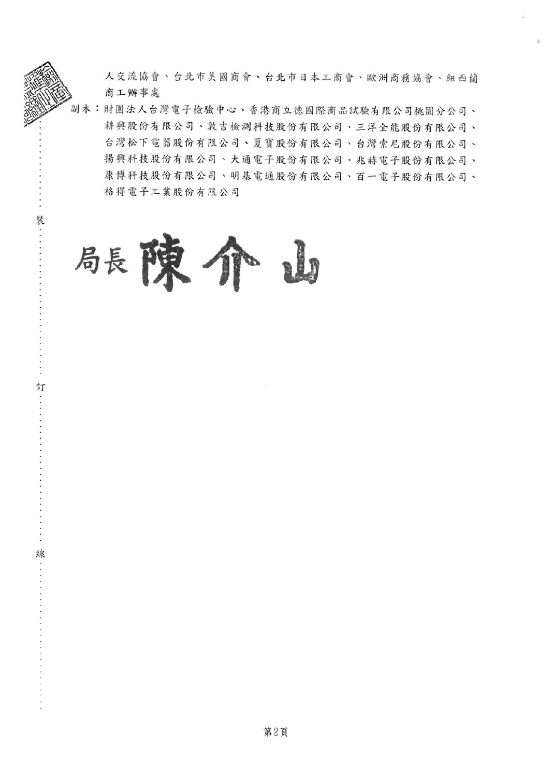人交流協會、台北市美國商會、台北市日本工商會、歐洲商務協會、紐西蘭 商工辦事處

副本:財團法人台灣電子檢驗中心、香港商立德國際商品試驗有限公司桃園分公司、 耕興股份有限公司、敦吉檢測科技股份有限公司、三洋全能股份有限公司、 台灣松下電器股份有限公司、夏寶股份有限公司、台灣索尼股份有限公司、 揚興科技股份有限公司、大通電子股份有限公司、兆赫電子股份有限公司、 康博科技股份有限公司、明基電通股份有限公司、百一電子股份有限公司、 格得電子工業股份有限公司



裝

訂

缐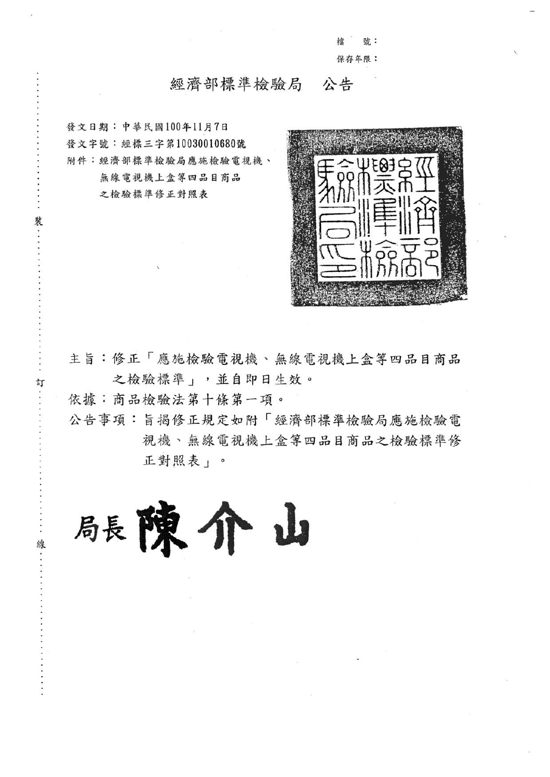捻 號: 保存年限:

#### 經濟部標準檢驗局 公告

發文日期:中華民國100年11月7日 發文字號:經標三字第10030010680號 附件:經濟部標準檢驗局應施檢驗電視機、 無線電視機上盒等四品目商品 之檢驗標準修正對照表

裝

訂



主旨:修正「應施檢驗電視機、無線電視機上盒等四品目商品 之檢驗標準」,並自即日生效。

依據:商品檢驗法第十條第一項。

公告事項:旨揭修正規定如附「經濟部標準檢驗局應施檢驗電 視機、無線電視機上盒等四品目商品之檢驗標準修 正對照表」。

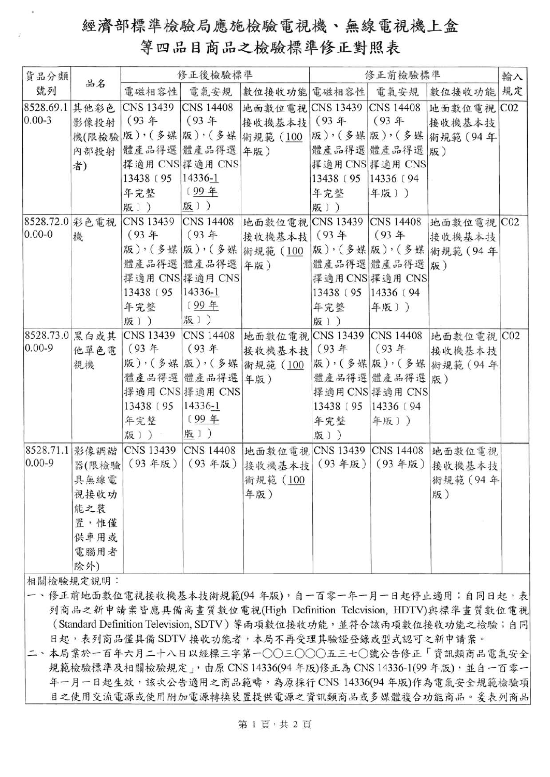# 經濟部標準檢驗局應施檢驗電視機、無線電視機上盒 等四品目商品之檢驗標準修正對照表

| 貨品分類           |       | 修正後檢驗標準          |                  |                                | 修正前檢驗標準    |                 |                                       | 輸入 |
|----------------|-------|------------------|------------------|--------------------------------|------------|-----------------|---------------------------------------|----|
| 號列             | 品名    | 電磁相容性            | 電氣安規             | 數位接收功能 電磁相容性                   |            | 電氣安規            | 數位接收功能                                | 規定 |
| 8528.69.1      | 其他彩色  | <b>CNS 13439</b> | <b>CNS 14408</b> | 地面數位電視 CNS 13439 CNS 14408     |            |                 | 地面數位電視 C02                            |    |
| $ 0.00 - 3 $   | 影像投射  | $(93 +$          | $(93 +$          | 接收機基本技 (93年                    |            | $(93 +$         | 接收機基本技                                |    |
|                |       |                  |                  | 機(限檢驗 版), (多媒 版), (多媒 術規範 (100 |            |                 | 版),(多媒版),(多媒 術規範(94年                  |    |
|                | 內部投射  | 體產品得選 體產品得選 年版)  |                  |                                |            | 體產品得選 體產品得選 版)  |                                       |    |
|                | 者)    |                  | 擇適用 CNS 擇適用 CNS  |                                |            | 擇適用 CNS 擇適用 CNS |                                       |    |
|                |       | 13438 (95)       | $14336 - 1$      |                                | 13438 (95) | 14336 (94       |                                       |    |
|                |       | 年完整              | [99年             |                                | 年完整        | 年版〕)            |                                       |    |
|                |       | 版))              | 版))              |                                | 版))        |                 |                                       |    |
| 8528.72.0 彩色電視 |       | <b>CNS 13439</b> | <b>CNS 14408</b> |                                |            |                 | 地面數位電視 CNS 13439 CNS 14408 地面數位電視 C02 |    |
| $ 0.00 - 0$    | 機     | (93年             | $(93 +$          | 接收機基本技 (93年                    |            | (93年            | 接收機基本技                                |    |
|                |       |                  |                  | 版),(多媒 版),(多媒 術規範(100          |            |                 | 版),(多媒 版),(多媒 術規範(94年                 |    |
|                |       |                  | 體產品得選 體產品得選 年版)  |                                |            | 體產品得選體產品得選      | 版)                                    |    |
|                |       |                  | 擇適用 CNS 擇適用 CNS  |                                |            | 擇適用 CNS 擇適用 CNS |                                       |    |
|                |       | 13438 (95)       | 14336-1          |                                | 13438 (95) | 14336 [94]      |                                       |    |
|                |       | 年完整              | [99年             |                                | 年完整        | 年版〕)            |                                       |    |
|                |       | 版))              | 版])              |                                | 版))        |                 |                                       |    |
| 8528.73.0      | 黑白或其  | CNS 13439        | <b>CNS 14408</b> | 地面數位電視 CNS 13439 CNS 14408     |            |                 | 地面數位電視 C02                            |    |
| $0.00 - 9$     | 他單色電  | $(93 +$          | (93年             | 接收機基本技 (93年                    |            | (93年            | 接收機基本技                                |    |
|                | 視機    |                  | 版),(多媒 版),(多媒    | 術規範 (100                       |            |                 | 版),(多媒 版),(多媒 術規範(94年                 |    |
|                |       |                  | 體產品得選 體產品得選 年版)  |                                |            | 體產品得選 體產品得選 版)  |                                       |    |
|                |       |                  | 擇適用 CNS 擇適用 CNS  |                                |            | 擇適用 CNS 擇適用 CNS |                                       |    |
|                |       | 13438 (95)       | 14336-1          |                                | 13438 (95) | 14336 [94]      |                                       |    |
|                |       | 年完整              | [99年             |                                | 年完整        | 年版〕)            |                                       |    |
|                |       | 版])              | 版))              |                                | 版))        |                 |                                       |    |
| 8528.71.1      |       | 影像調諧 CNS 13439   | <b>CNS 14408</b> |                                |            |                 | 地面數位電視 CNS 13439 CNS 14408 地面數位電視     |    |
| $0.00 - 9$     | 器(限檢驗 | (93年版)           | (93年版)           | 接收機基本技                         | (93年版)     | (93年版)          | 接收機基本技                                |    |
|                | 具無線電  |                  |                  | 術規範 (100                       |            |                 | 術規範 (94年                              |    |
|                | 視接收功  |                  |                  | 年版)                            |            |                 | 版)                                    |    |
|                | 能之裝   |                  |                  |                                |            |                 |                                       |    |
|                | 置,惟僅  |                  |                  |                                |            |                 |                                       |    |
|                | 供車用或  |                  |                  |                                |            |                 |                                       |    |
|                | 電腦用者  |                  |                  |                                |            |                 |                                       |    |
|                | 除外)   |                  |                  |                                |            |                 |                                       |    |

相關檢驗規定說明:

- 一、修正前地面數位電視接收機基本技術規範(94年版),自一百零一年一月一日起停止適用;自同日起,表 列商品之新申請案皆應具備高畫質數位電視(High Definition Television, HDTV)與標準畫質數位電視 (Standard Definition Television, SDTV) 等兩項數位接收功能,並符合該兩項數位接收功能之檢驗;自同 日起,表列商品僅具備 SDTV 接收功能者,本局不再受理其驗證登錄或型式認可之新申請案。
- 二、本局業於一百年六月二十八日以經標三字第一○○三○○○五三七○號公告修正「資訊類商品電氣安全 規範檢驗標準及相關檢驗規定」, 由原 CNS 14336(94年版)修正為 CNS 14336-1(99年版), 並自一百零一 年一月一日起生效,該次公告適用之商品範疇,為原採行 CNS 14336(94年版)作為電氣安全規範檢驗項 目之使用交流電源或使用附加電源轉換裝置提供電源之資訊類商品或多媒體複合功能商品。爰表列商品

第1頁,共2頁